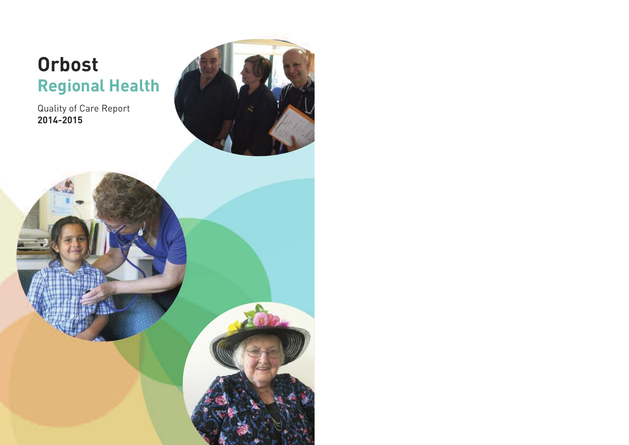# **Orbost Regional Health**

Quality of Care Report **2014-2015**



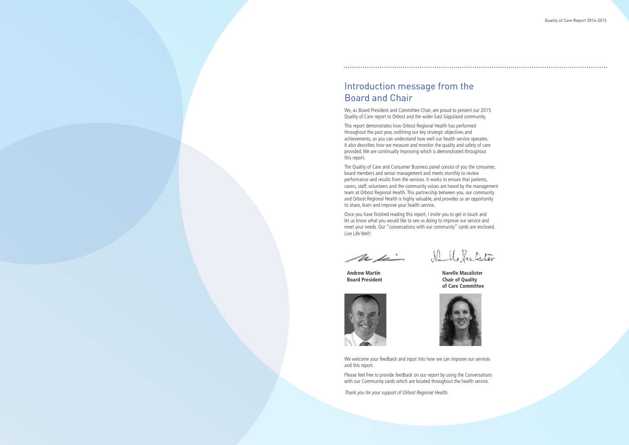

### Introduction message from the Board and Chair

We, as Board President and Committee Chair, are proud to present our 2015 Quality of Care report to Orbost and the wider East Gippsland community.

This report demonstrates how Orbost Regional Health has performed throughout the past year, outlining our key strategic objectives and achievements, so you can understand how well our health service operates. It also describes how we measure and monitor the quality and safety of care provided.We are continually improving which is demonstrated throughout this report.

The Quality of Care and Consumer Business panel consist of you the consumer, board members and senior management and meets monthly to review performance and results from the services. It works to ensure that patients, carers, staff, volunteers and the community voices are heard by the management team at Orbost Regional Health. This partnership between you, our community and Orbost Regional Health is highly valuable, and provides us an opportunity to share, learn and improve your health service.

**Chair of Quality of Care Committee**





Once you have finished reading this report, I invite you to get in touch and let us know what you would like to see us doing to improve our service and meet your needs. Our "conversations with our community" cards are enclosed. Live Life Well!

m is

We welcome your feedback and input into how we can improve our services and this report.

Please feel free to provide feedback on our report by using the Conversations with our Community cards which are located throughout the health service.

Thank you for your support of Orbost Regional Health.

**Andrew Martin Narelle Macalister**

Namble Respectator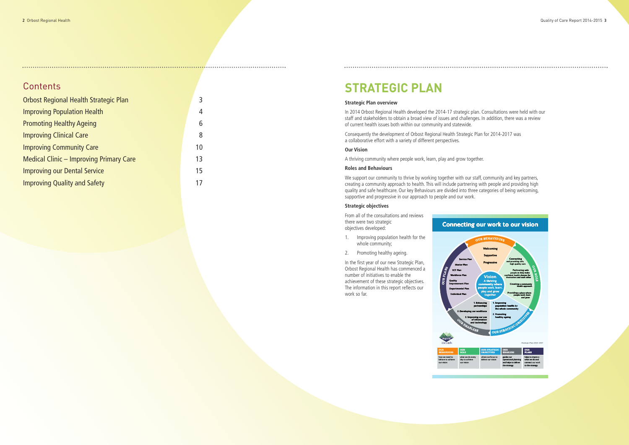### Contents

| <b>Orbost Regional Health Strategic Plan</b>   |    |  |  |
|------------------------------------------------|----|--|--|
| <b>Improving Population Health</b>             |    |  |  |
| <b>Promoting Healthy Ageing</b>                | 6  |  |  |
| <b>Improving Clinical Care</b>                 | 8  |  |  |
| <b>Improving Community Care</b>                | 10 |  |  |
| <b>Medical Clinic - Improving Primary Care</b> |    |  |  |
| <b>Improving our Dental Service</b>            |    |  |  |
| <b>Improving Quality and Safety</b>            |    |  |  |
|                                                |    |  |  |

### **STRATEGIC PLAN**

#### **Strategic Plan overview**

In 2014 Orbost Regional Health developed the 2014-17 strategic plan. Consultations were held with our staff and stakeholders to obtain a broad view of issues and challenges. In addition, there was a review of current health issues both within our community and statewide.

Consequently the development of Orbost Regional Health Strategic Plan for 2014-2017 was a collaborative effort with a variety of different perspectives.

#### **Our Vision**

A thriving community where people work, learn, play and grow together.

#### **Roles and Behaviours**

We support our community to thrive by working together with our staff, community and key partners, creating a community approach to health. This will include partnering with people and providing high quality and safe healthcare. Our key Behaviours are divided into three categories of being welcoming, supportive and progressive in our approach to people and our work.

#### **Strategic objectives**

From all of the consultations and reviews there were two strategic objectives developed:

- 1. Improving population health for the whole community;
- 2. Promoting healthy ageing.

In the first year of our new Strategic Plan, Orbost Regional Health has commenced a number of initiatives to enable the achievement of these strategic objectives. The information in this report reflects our work so far.

deliver our vision

operational planning and helps to deliver the strategy

what we do and connect our work to the strategy





connec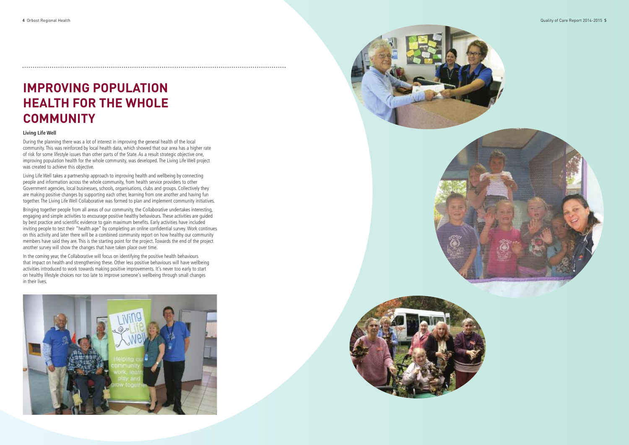### **IMPROVING POPULATION HEALTH FOR THE WHOLE COMMUNITY**

#### **L i v i n g L i f e W e l l**

During the planning there was a lot of interest in improving the general health of the local community. This was reinforced by local health data, which showed that our area has a higher rate of risk for some lifestyle issues than other parts of the State. As a result strategic objective one, improving population health for the whole community, was developed. The Living Life Well project was created to achieve this objective.

Living Life Well takes a partnership approach to improving health and wellbeing by connecting people and information across the whole community, from health service providers to other Government agencies, local businesses, schools, organisations, clubs and groups. Collectively they are making positive changes by supporting each other, learning from one another and having fun together. The Living Life Well Collaborative was formed to plan and implement community initiatives.

Bringing together people from all areas of our community, the Collaborative undertakes interesting, engaging and simple activities to encourage positive healthy behaviours. These activities are guided by best practice and scientific evidence to gain maximum benefits. Early activities have included inviting people to test their "health age" by completing an online confidential survey. Work continues on this activity and later there will be a combined community report on how healthy our community members have said they are. This is the starting point for the project. Towards the end of the project another survey will show the changes that have taken place over time.

In the coming year, the Collaborative will focus on identifying the positive health behaviours that impact on health and strengthening these. Other less positive behaviours will have wellbeing activities introduced to work towards making positive improvements. It's never too early to start on healthy lifestyle choices nor too late to improve someone's wellbeing through small changes in their lives.









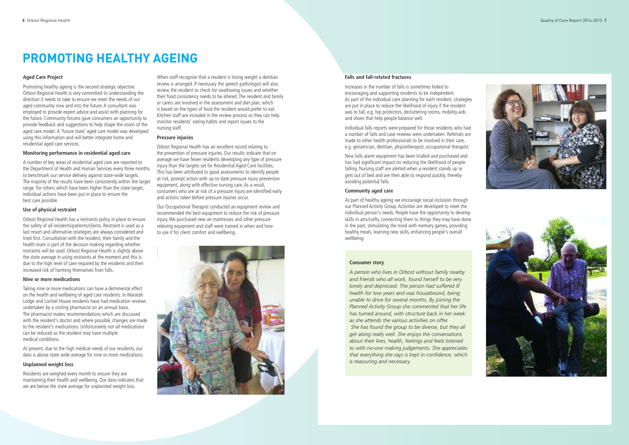### **PROMOTING HEALTHY AGEING**

#### Aged Care Project

Promoting healthy ageing is the second strategic objective. Orbost Regional Health is very committed to understanding the direction it needs to take to ensure we meet the needs of our aged community now and into the future. A consultant was employed to provide expert advice and assist with planning for the future. Community forums gave consumers an opportunity to provide feedback and suggestions to help shape the vision of the aged care model. A 'future state' aged care model was developed using this information and will better integrate home and residential aged care services.

#### Monitoring performance in residential aged care

A number of key areas of residential aged care are reported to the Department of Health and Human Services every three months to benchmark our service delivery against state-wide targets. The majority of the results have been consistently within the target range. For others which have been higher than the state target, individual actions have been put in place to ensure the best care possible.

#### Use of physical restraint

Orbost Regional Health has a restraints policy in place to ensure the safety of all residents/patients/clients. Restraint is used as a last resort and alternative strategies are always considered and tried first. Consultation with the resident, their family and the health team is part of the decision making regarding whether restraints will be used. Orbost Regional Health is slightly above the state average in using restraints at the moment and this is due to the high level of care required by the residents and their increased risk of harming themselves from falls.

#### Nine or more medications

Taking nine or more medications can have a detrimental effect on the health and wellbeing of aged care residents. In Waratah Lodge and Lochiel House residents have had medication reviews undertaken by a visiting pharmacist on an annual basis. The pharmacist makes recommendations which are discussed with the resident's doctor and where possible, changes are made to the resident's medications. Unfortunately not all medications can be reduced as the resident may have multiple medical conditions.

At present, due to the high medical needs of our residents, our data is above state wide average for nine or more medications.

#### Unplanned weight loss

Residents are weighed every month to ensure they are maintaining their health and wellbeing. Our data indicates that we are below the state average for unplanned weight loss.

When staff recognise that a resident is losing weight a dietitian review is arranged. If necessary the speech pathologist will also review the resident to check for swallowing issues and whether their food consistency needs to be altered. The resident and family or carers are involved in the assessment and diet plan, which is based on the types of food the resident would prefer to eat. Kitchen staff are included in the review process so they can help monitor residents' eating habits and report issues to the nursing staff.

#### **Pressure injuries**

Orbost Regional Health has an excellent record relating to the prevention of pressure injuries. Our results indicate that on average we have fewer residents developing any type of pressure injury than the targets set for Residential Aged Care facilities. This has been attributed to good assessments to identify people at risk, prompt action with up-to-date pressure injury prevention equipment, along with effective nursing care. As a result, consumers who are at risk of a pressure injury are identified early and actions taken before pressure injuries occur.

Our Occupational Therapist conducted an equipment review and recommended the best equipment to reduce the risk of pressure injury. We purchased new air mattresses and other pressure relieving equipment and staff were trained in when and how to use it for client comfort and wellbeing.



#### **Falls and fall-related fractures**

Increases in the number of falls is sometimes linked to encouraging and supporting residents to be independent. As part of the individual care planning for each resident, strategies are put in place to reduce the likelihood of injury if the resident was to fall, e.g. hip protectors, decluttering rooms, mobility aids and shoes that help people balance well.

Individual falls reports were prepared for those residents who had a number of falls and case reviews were undertaken. Referrals are made to other health professionals to be involved in their care, e.g. geriatrician, dietitian, physiotherapist, occupational therapist.

New falls alarm equipment has been trialled and purchased and has had significant impact on reducing the likelihood of people falling. Nursing staff are alerted when a resident stands up or gets out of bed and are then able to respond quickly, thereby avoiding potential falls.

#### **Community aged care**

As part of healthy ageing we encourage social inclusion through our Planned Activity Group. Activities are developed to meet the individual person's needs. People have the opportunity to develop skills in arts/crafts, connecting them to things they may have done in the past, stimulating the mind with memory games, providing healthy meals, learning new skills, enhancing people's overall wellbeing.

#### **Consumer story**

A person who lives in Orbost without family nearby and friends who all work, found herself to be very lonely and depressed. The person had suffered ill health for two years and was housebound, being unable to drive for several months. By joining the Planned Activity Group she commented that her life has turned around, with structure back in her week as she attends the various activities on offer. She has found the group to be diverse, but they all get along really well. She enjoys the conversations about their lives, health, feelings and feels listened to with no-one making judgements. She appreciates that everything she says is kept in confidence, which *is* reassuring and necessary.



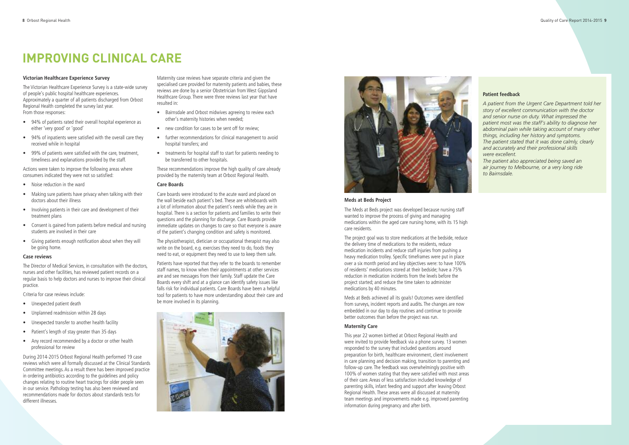#### **Victorian Healthcare Experience Survey**

The Victorian Healthcare Experience Survey is a state-wide survey of people's public hospital healthcare experiences. Approximately a quarter of all patients discharged from Orbost Regional Health completed the survey last year. From those responses:

- 94% of patients rated their overall hospital experience as either 'very good' or 'good'
- 94% of inpatients were satisfied with the overall care they received while in hospital
- 99% of patients were satisfied with the care, treatment, timeliness and explanations provided by the staff.

Actions were taken to improve the following areas where consumers indicated they were not so satisfied:

- Noise reduction in the ward
- Making sure patients have privacy when talking with their doctors about their illness
- Involving patients in their care and development of their treatment plans
- Consent is gained from patients before medical and nursing students are involved in their care
- Giving patients enough notification about when they will be going home.

#### **Case reviews**

The Director of Medical Services, in consultation with the doctors, nurses and other facilities, has reviewed patient records on a regular basis to help doctors and nurses to improve their clinical practice.

Criteria for case reviews include:

- Unexpected patient death
- Unplanned readmission within 28 days
- Unexpected transfer to another health facility
- Patient's length of stay greater than 35 days
- Any record recommended by a doctor or other health professional for review

During 2014-2015 Orbost Regional Health performed 19 case reviews which were all formally discussed at the Clinical Standards Committee meetings. As a result there has been improved practice in ordering antibiotics according to the guidelines and policy changes relating to routine heart tracings for older people seen in our service. Pathology testing has also been reviewed and recommendations made for doctors about standards tests for different illnesses.

Maternity case reviews have separate criteria and given the specialised care provided for maternity patients and babies, these reviews are done by a senior Obstetrician from West Gippsland Healthcare Group. There were three reviews last year that have resulted in:

- Bairnsdale and Orbost midwives agreeing to review each other's maternity histories when needed;
- new condition for cases to be sent off for review;
- further recommendations for clinical management to avoid hospital transfers; and
- treatments for hospital staff to start for patients needing to be transferred to other hospitals.

These recommendations improve the high quality of care already provided by the maternity team at Orbost Regional Health.

#### **Care Boards**

Care boards were introduced to the acute ward and placed on the wall beside each patient's bed. These are whiteboards with a lot of information about the patient's needs while they are in hospital. There is a section for patients and families to write their questions and the planning for discharge. Care Boards provide immediate updates on changes to care so that everyone is aware of the patient's changing condition and safety is monitored.

The physiotherapist, dietician or occupational therapist may also write on the board, e.g. exercises they need to do, foods they need to eat, or equipment they need to use to keep them safe.

Patients have reported that they refer to the boards to remember staff names, to know when their appointments at other services are and see messages from their family. Staff update the Care Boards every shift and at a glance can identify safety issues like falls risk for individual patients. Care Boards have been a helpful tool for patients to have more understanding about their care and be more involved in its planning.





### **IMPROVING CLINICAL CARE**

#### **Meds at Beds Project**

The Meds at Beds project was developed because nursing staff wanted to improve the process of giving and managing medications within the aged care nursing home, with its 15 high care residents.

The project goal was to store medications at the bedside, reduce the delivery time of medications to the residents, reduce medication incidents and reduce staff injuries from pushing a heavy medication trolley. Specific timeframes were put in place over a six month period and key objectives were: to have 100% of residents' medications stored at their bedside; have a 75% reduction in medication incidents from the levels before the project started; and reduce the time taken to administer medications by 40 minutes.

Meds at Beds achieved all its goals! Outcomes were identified from surveys, incident reports and audits. The changes are now embedded in our day to day routines and continue to provide better outcomes than before the project was run.

#### **Maternity Care**

This year 22 women birthed at Orbost Regional Health and were invited to provide feedback via a phone survey. 13 women responded to the survey that included questions around preparation for birth, healthcare environment, client involvement in care planning and decision making, transition to parenting and follow-up care. The feedback was overwhelmingly positive with 100% of women stating that they were satisfied with most areas of their care. Areas of less satisfaction included knowledge of parenting skills, infant feeding and support after leaving Orbost Regional Health. These areas were all discussed at maternity team meetings and improvements made e.g. improved parenting information during pregnancy and after birth.

#### **Patient feedback**

*A patient from the Urgent Care Department told her story of excellent communication with the doctor and senior nurse on duty. What impressed the patient most was the staff's ability to diagnose her abdominal pain while taking account of many other things, including her history and symptoms. The patient stated that it was done calmly, clearly and accurately and their professional skills were excellent.*

*The patient also appreciated being saved an air journey to Melbourne, or a very long ride to Bairnsdale.*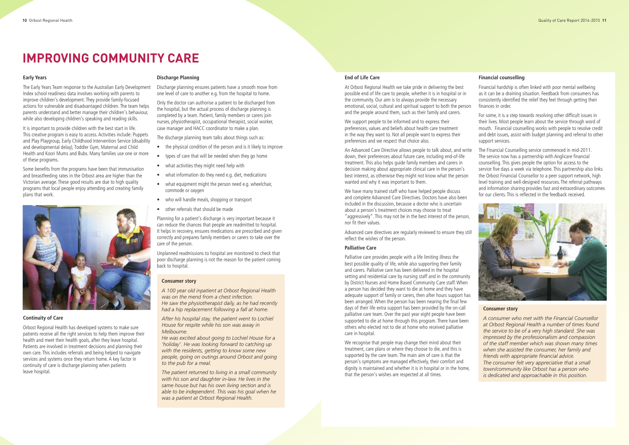#### **Early Years**

The Early Years Team response to the Australian Early Development Index school readiness data involves working with parents to improve children's development. They provide family-focused actions for vulnerable and disadvantaged children. The team helps parents understand and better manage their children's behaviour, while also developing children's speaking and reading skills.

It is important to provide children with the best start in life. This creative program is easy to access. Activities include: Puppets and Play Playgroup, Early Childhood Intervention Service (disability and developmental delay), Toddler Gym, Maternal and Child Health and Koori Mums and Bubs. Many families use one or more of these programs.

Some benefits from the programs have been that immunisation and breastfeeding rates in the Orbost area are higher than the Victorian average. These good results are due to high quality programs that local people enjoy attending and creating family plans that work.



#### **Continuity of Care**

Orbost Regional Health has developed systems to make sure patients receive all the right services to help them improve their health and meet their health goals, after they leave hospital. Patients are involved in treatment decisions and planning their own care. This includes referrals and being helped to navigate services and systems once they return home. A key factor in continuity of care is discharge planning when patients leave hospital.

#### **Discharge Planning**

Discharge planning ensures patients have a smooth move from one level of care to another e.g. from the hospital to home.

Only the doctor can authorise a patient to be discharged from the hospital, but the actual process of discharge planning is completed by a team. Patient, family members or carers join nurses, physiotherapist, occupational therapist, social worker, case manager and HACC coordinator to make a plan.

The discharge planning team talks about things such as:

- the physical condition of the person and is it likely to improve
- types of care that will be needed when they go home
- what activities they might need help with
- what information do they need e.g. diet, medications
- what equipment might the person need e.g. wheelchair, commode or oxygen
- who will handle meals, shopping or transport
- other referrals that should be made

Planning for a patient's discharge is very important because it can reduce the chances that people are readmitted to hospital. It helps in recovery, ensures medications are prescribed and given correctly and prepares family members or carers to take over the care of the person.

Unplanned readmissions to hospital are monitored to check that poor discharge planning is not the reason for the patient coming back to hospital.

### **IMPROVING COMMUNITY CARE**

#### **Consumer story**

*A 100 year old inpatient at Orbost Regional Health was on the mend from a chest infection. He saw the physiotherapist daily, as he had recently had a hip replacement following a fall at home.*

*After his hospital stay, the patient went to Lochiel House for respite while his son was away in Melbourne.*

*He was excited about going to Lochiel House for a 'holiday'. He was looking forward to catching up with the residents, getting to know some new people, going on outings around Orbost and going to the pub for a meal.*

*The patient returned to living in a small community with his son and daughter in-law. He lives in the same house but has his own living section and is able to be independent. This was his goal when he was a patient at Orbost Regional Health.*

#### **End of Life Care**

At Orbost Regional Health we take pride in delivering the best possible end of life care to people, whether it is in hospital or in the community. Our aim is to always provide the necessary emotional, social, cultural and spiritual support to both the person and the people around them, such as their family and carers.

We support people to be informed and to express their preferences, values and beliefs about health care treatment in the way they want to. Not all people want to express their preferences and we respect that choice also.

and complete Advanced Care Directives. Doctors have also been included in the discussion, because a doctor who is uncertain about a person's treatment choices may choose to treat "aggressively". This may not be in the best interest of the person, nor fit their values.

Advanced care directives are regularly reviewed to ensure they still reflect the wishes of the person.

#### **Palliative Care**

Palliative care provides people with a life limiting illness the best possible quality of life, while also supporting their family and carers. Palliative care has been delivered in the hospital setting and residential care by nursing staff and in the community by District Nurses and Home Based Community Care staff.When a person has decided they want to die at home and they have adequate support of family or carers, then after hours support has been arranged.When the person has been nearing the final few days of their life extra support has been provided by the on-call palliative care team. Over the past year eight people have been supported to die at home through this program. There have been others who elected not to die at home who received palliative care in hospital.

An Advanced Care Directive allows people to talk about, and write down, their preferences about future care, including end-of-life treatment. This also helps guide family members and carers in decision making about appropriate clinical care in the person's best interest, as otherwise they might not know what the person wanted and why it was important to them. We have many trained staff who have helped people discuss The Financial Counselling service commenced in mid-2011. The service now has a partnership with Anglicare financial counselling. This gives people the option for access to the service five days a week via telephone. This partnership also links the Orbost Financial Counsellor to a peer support network, high level training and well-designed resources. The referral pathways and information sharing provides fast and extraordinary outcomes for our clients. This is reflected in the feedback received.

We recognise that people may change their mind about their treatment, care plans or where they choose to die, and this is supported by the care team. The main aim of care is that the person's symptoms are managed effectively, their comfort and dignity is maintained and whether it is in hospital or in the home, that the person's wishes are respected at all times.

#### **Financial counselling**

Financial hardship is often linked with poor mental wellbeing as it can be a draining situation. Feedback from consumers has consistently identified the relief they feel through getting their finances in order.

For some, it is a step towards resolving other difficult issues in their lives. Most people learn about the service through word of mouth. Financial counselling works with people to resolve credit and debt issues, assist with budget planning and referral to other support services.



#### **Consumer story**

*A consumer who met with the Financial Counsellor at Orbost Regional Health a number of times found the service to be of a very high standard. She was impressed by the professionalism and compassion of the staff member which was shown many times when she assisted the consumer, her family and friends with appropriate financial advice. The consumer felt very appreciative that a small town/community like Orbost has a person who is dedicated and approachable in this position.*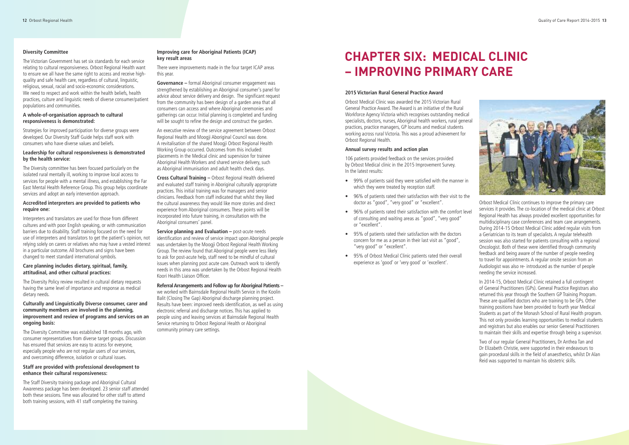

#### **Diversity Committee**

The Victorian Government has set six standards for each service relating to cultural responsiveness. Orbost Regional Health want to ensure we all have the same right to access and receive highquality and safe health care, regardless of cultural, linguistic, religious, sexual, racial and socio-economic considerations. We need to respect and work within the health beliefs, health practices, culture and linguistic needs of diverse consumer/patient populations and communities.

#### **A whole-of-organisation approach to cultural responsiveness is demonstrated:**

Strategies for improved participation for diverse groups were developed. Our Diversity Staff Guide helps staff work with consumers who have diverse values and beliefs.

#### **Leadership for cultural responsiveness is demonstrated by the health service:**

The Diversity committee has been focused particularly on the isolated rural mentally ill, working to improve local access to services for people with a mental illness, and establishing the Far East Mental Health Reference Group. This group helps coordinate services and adopt an early intervention approach.

#### **Accredited interpreters are provided to patients who require one:**

**Governance –** formal Aboriginal consumer engagement was strengthened by establishing an Aboriginal consumer's panel for advice about service delivery and design. The significant request from the community has been design of a garden area that all consumers can access and where Aboriginal ceremonies and gatherings can occur. Initial planning is completed and funding will be sought to refine the design and construct the garden.

Interpreters and translators are used for those from different cultures and with poor English speaking, or with communication barriers due to disability. Staff training focused on the need for use of interpreters and translators to get the patient's opinion, not relying solely on carers or relatives who may have a vested interest in a particular outcome. All brochures and signs have been changed to meet standard international symbols.

#### **Care planning includes dietary, spiritual, family, attitudinal, and other cultural practices:**

The Diversity Policy review resulted in cultural dietary requests having the same level of importance and response as medical dietary needs.

#### **Culturally and Linguistically Diverse consumer, carer and community members are involved in the planning, improvement and review of programs and services on an ongoing basis:**

The Diversity Committee was established 18 months ago, with consumer representatives from diverse target groups. Discussion has ensured that services are easy to access for everyone, especially people who are not regular users of our services, and overcoming difference, isolation or cultural issues.

#### **Staff are provided with professional development to enhance their cultural responsiveness:**

The Staff Diversity training package and Aboriginal Cultural Awareness package has been developed. 23 senior staff attended both these sessions. Time was allocated for other staff to attend both training sessions, with 41 staff completing the training.

#### **Improving care for Aboriginal Patients (ICAP) key result areas**

There were improvements made in the four target ICAP areas this year.

An executive review of the service agreement between Orbost Regional Health and Moogii Aboriginal Council was done. A revitalisation of the shared Moogji Orbost Regional Health Working Group occurred. Outcomes from this included: placements in the Medical clinic and supervision for trainee Aboriginal Health Workers and shared service delivery, such as Aboriginal immunisation and adult health check days.

**Cross Cultural Training –** Orbost Regional Health delivered and evaluated staff training in Aboriginal culturally appropriate practices. This initial training was for managers and senior clinicians. Feedback from staff indicated that whilst they liked the cultural awareness they would like more stories and direct experience from Aboriginal consumers. These points will be incorporated into future training, in consultation with the Aboriginal consumers' panel.

**Service planning and Evaluation –** post-acute needs identification and review of service impact upon Aboriginal people was undertaken by the Moogji Orbost Regional Health Working Group. The review found that Aboriginal people were less likely to ask for post-acute help, staff need to be mindful of cultural issues when planning post acute care. Outreach work to identify needs in this area was undertaken by the Orbost Regional Health Koori Health Liaison Officer.

**ReferralArrangements and Follow up forAboriginal Patients –** we worked with Bairnsdale Regional Health Service in the Koolin Balit (Closing The Gap) Aboriginal discharge planning project. Results have been: improved needs identification, as well as using electronic referral and discharge notices. This has applied to people using and leaving services at Bairnsdale Regional Health Service returning to Orbost Regional Health or Aboriginal community primary care settings.

#### **2015 Victorian Rural General Practice Award**

Orbost Medical Clinic was awarded the 2015 Victorian Rural General Practice Award. The Award is an initiative of the Rural Workforce Agency Victoria which recognises outstanding medical specialists, doctors, nurses, Aboriginal health workers, rural general practices, practice managers, GP locums and medical students working across rural Victoria. This was a proud achievement for Orbost Regional Health.

#### **Annual survey results and action plan**

106 patients provided feedback on the services provided by Orbost Medical clinic in the 2015 Improvement Survey. In the latest results:

- 99% of patients said they were satisfied with the manner in which they were treated by reception staff.
- 96% of patients rated their satisfaction with their visit to the doctor as "good", "very good" or "excellent".
- 96% of patients rated their satisfaction with the comfort level of consulting and waiting areas as "good", "very good" or "excellent".
- 95% of patients rated their satisfaction with the doctors concern for me as a person in their last visit as "good", "very good" or "excellent".
- 95% of Orbost Medical Clinic patients rated their overall experience as 'good' or 'very good' or 'excellent'.

Orbost Medical Clinic continues to improve the primary care services it provides. The co-location of the medical clinic at Orbost Regional Health has always provided excellent opportunities for multidisciplinary case conferences and team care arrangements. During 2014-15 Orbost Medical Clinic added regular visits from a Geriatrician to its team of specialists. A regular telehealth session was also started for patients consulting with a regional Oncologist. Both of these were identified through community feedback and being aware of the number of people needing to travel for appointments. A regular onsite session from an Audiologist was also re- introduced as the number of people needing the service increased.

In 2014-15, Orbost Medical Clinic retained a full contingent of General Practitioners (GPs). General Practice Registrars also returned this year through the Southern GP Training Program. These are qualified doctors who are training to be GPs. Other training positions have been provided to fourth year Medical Students as part of the Monash School of Rural Health program. This not only provides learning opportunities to medical students and registrars but also enables our senior General Practitioners to maintain their skills and expertise through being a supervisor.

Two of our regular General Practitioners, Dr Anthea Tan and Dr Elizabeth Christie, were supported in their endeavours to gain procedural skills in the field of anaesthetics, whilst Dr Alan Reid was supported to maintain his obstetric skills.

### **CHAPTER SIX: MEDICAL CLINIC – IMPROVING PRIMARY CARE**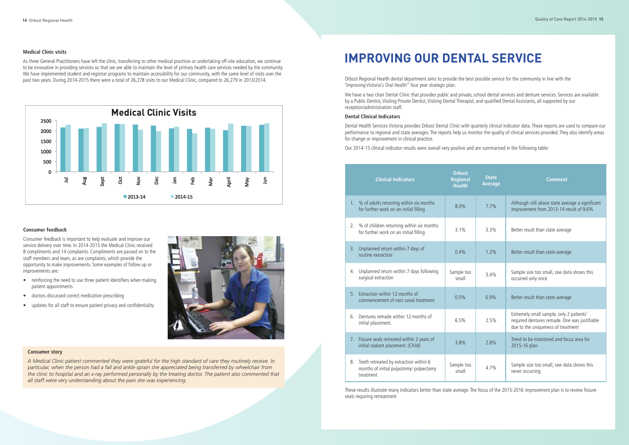### **IMPROVING OUR DENTAL SERVICE**

Orbost Regional Health dental department aims to provide the best possible service for the community in line with the 'Improving Victoria's Oral Health" four year strategic plan.

We have a two chair Dental Clinic that provides public and private, school dental services and denture services. Services are available by a Public Dentist, Visiting Private Dentist, Visiting Dental Therapist, and qualified Dental Assistants, all supported by our reception/administration staff.

#### **Dental Clinical Indicators**

Dental Health Services Victoria provides Orbost Dental Clinic with quarterly clinical indicator data. These reports are used to compare our performance to regional and state averages. The reports help us monitor the quality of clinical services provided. They also identify areas for change or improvement in clinical practice.

Our 2014-15 clinical indicator results were overall very positive and are summarised in the following table:

#### **Medical Clinic visits**

A Medical Clinic patient commented they were grateful for the high standard of care they routinely receive. In particular, when the person had a fall and ankle sprain she appreciated being transferred by wheelchair from the clinic to hospital and an x-ray performed personally by the treating doctor. The patient also commented that *all staff were very understanding about the pain she was experiencing.*

As three General Practitioners have left the clinic, transferring to other medical practices or undertaking off-site education, we continue to be innovative in providing services so that we are able to maintain the level of primary health care services needed by the community. We have implemented student and registrar programs to maintain accessibility for our community, with the same level of visits over the past two years. During 2014-2015 there were a total of 26,278 visits to our Medical Clinic, compared to 26,279 in 2013/2014.



#### **Consumer feedback**

Consumer feedback is important to help evaluate and improve our service delivery over time. In 2014-2015 the Medical Clinic received 8 compliments and 14 complaints. Compliments are passed on to the staff members and team, as are complaints, which provide the opportunity to make improvements. Some examples of follow up or improvements are:

- reinforcing the need to use three patient identifiers when making patient appointments
- doctors discussed correct medication prescribing
- updates for all staff to ensure patient privacy and confidentiality



#### **Consumer story**

|                | <b>Clinical Indicators</b>                                                                     | <b>Orbost</b><br><b>Regional</b><br><b>Health</b> | <b>State</b><br><b>Average</b> | <b>Comment</b>                                                                                                                  |
|----------------|------------------------------------------------------------------------------------------------|---------------------------------------------------|--------------------------------|---------------------------------------------------------------------------------------------------------------------------------|
|                | 1. % of adults returning within six months<br>for further work on an initial filling           | 8.0%                                              | 7.7%                           | Although still above state average a significant<br>improvement from 2013-14 result of 9.6%                                     |
| 2.             | % of children returning within six months<br>for further work on an initial filling            | 3.1%                                              | 3.3%                           | Better result than state average                                                                                                |
| 3.             | Unplanned return within 7 days of<br>routine extraction                                        | 0.4%                                              | 1.2%                           | Better result than state average                                                                                                |
| 4.             | Unplanned return within 7 days following<br>surgical extraction                                | Sample too<br>small                               | 3.4%                           | Sample size too small, raw data shows this<br>occurred only once                                                                |
| 5 <sub>1</sub> | Extraction within 12 months of<br>commencement of root canal treatment                         | 0.0%                                              | 6.9%                           | Better result than state average                                                                                                |
| 6.             | Dentures remade within 12 months of<br>initial placement.                                      | 6.5%                                              | 2.5%                           | Extremely small sample, only 2 patients'<br>required dentures remade. One was justifiable<br>due to the uniqueness of treatment |
| 7.             | Fissure seals retreated within 2 years of<br>initial sealant placement. (Child)                | 3.8%                                              | 2.8%                           | Trend to be monitored and focus area for<br>2015-16 plan                                                                        |
| 8.             | Teeth retreated by extraction within 6<br>months of initial pulpotomy/ pulpectomy<br>treatment | Sample too<br>small                               | 4.7%                           | Sample size too small, raw data shows this<br>never occurring                                                                   |

These results illustrate many indicators better than state average. The focus of the 2015-2016 improvement plan is to review fissure seals requiring retreatment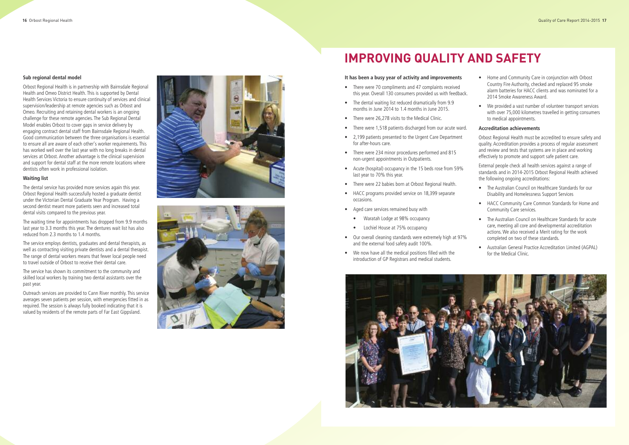#### Sub regional dental model

Orbost Regional Health is in partnership with Bairnsdale Regional Health and Omeo District Health. This is supported by Dental Health Services Victoria to ensure continuity of services and clinical supervision/leadership at remote agencies such as Orbost and Omeo. Recruiting and retaining dental workers is an ongoing challenge for these remote agencies. The Sub Regional Dental Model enables Orbost to cover gaps in service delivery by engaging contract dental staff from Bairnsdale Regional Health. Good communication between the three organisations is essential to ensure all are aware of each other's worker requirements. This has worked well over the last year with no long breaks in dental services at Orbost. Another advantage is the clinical supervision and support for dental staff at the more remote locations where dentists often work in professional isolation.

#### **Wa i t i n g l i s t**

The dental service has provided more services again this year. Orbost Regional Health successfully hosted a graduate dentist under the Victorian Dental Graduate Year Program. Having a second dentist meant more patients seen and increased total dental visits compared to the previous year.

The waiting time for appointments has dropped from 9.9 months last year to 3.3 months this year. The dentures wait list has also reduced from 2.3 months to 1.4 months.

The service employs dentists, graduates and dental therapists, as well as contracting visiting private dentists and a dental therapist. The range of dental workers means that fewer local people need to travel outside of Orbost to receive their dental care.

The service has shown its commitment to the community and skilled local workers by training two dental assistants over the past year.

Outreach services are provided to Cann River monthly. This service averages seven patients per session, with emergencies fitted in as required. The session is always fully booked indicating that it is valued by residents of the remote parts of Far East Gippsland.





### **IMPROVING QUALITY AND SAFETY**

#### It has been a busy year of activity and improvements

- There were 70 compliments and 47 complaints received this year. Overall 130 consumers provided us with feedback.
- The dental waiting list reduced dramatically from 9.9 months in June 2014 to 1.4 months in June 2015.
- There were 26,278 visits to the Medical Clinic.
- There were 1,518 patients discharged from our acute ward.
- 2,199 patients presented to the Urgent Care Department for after-hours care.
- There were 234 minor procedures performed and 815 non-urgent appointments in Outpatients.
- Acute (hospital) occupancy in the 15 beds rose from 59% last year to 70% this year.
- There were 22 babies born at Orbost Regional Health.
- HACC programs provided service on 18,399 separate occasions.
- Aged care services remained busy with
	- Waratah Lodge at 98% occupancy
	- Lochiel House at 75% occupancy
- Our overall cleaning standards were extremely high at 97% and the external food safety audit 100%.
- We now have all the medical positions filled with the introduction of GP Registrars and medical students.



- Home and Community Care in conjunction with Orbost Country Fire Authority, checked and replaced 95 smoke alarm batteries for HACC clients and was nominated for a 2014 Smoke Awareness Award.
- We provided a vast number of volunteer transport services with over 75,000 kilometres travelled in getting consumers to medical appointments.

#### **Accreditation achievements**

Orbost Regional Health must be accredited to ensure safety and quality. Accreditation provides a process of regular assessment and review and tests that systems are in place and working effectively to promote and support safe patient care.

External people check all health services against a range of standards and in 2014-2015 Orbost Regional Health achieved the following ongoing accreditations:

- The Australian Council on Healthcare Standards for our Disability and Homelessness Support Services
- HACC Community Care Common Standards for Home and Community Care services.
- The Australian Council on Healthcare Standards for acute care, meeting all core and developmental accreditation actions. We also received a Merit rating for the work completed on two of these standards.
- Australian General Practice Accreditation Limited (AGPAL) for the Medical Clinic.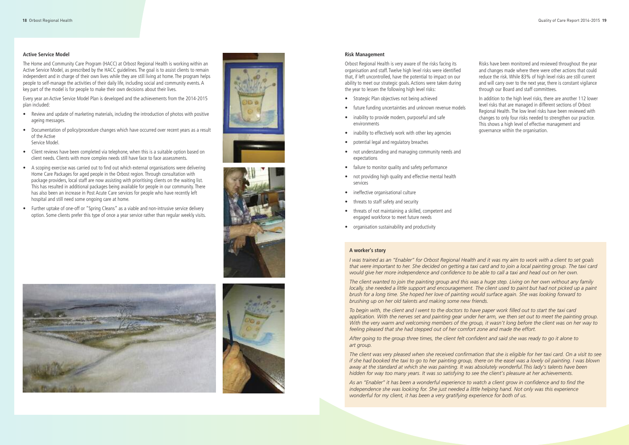#### **Active Service Model**

The Home and Community Care Program (HACC) at Orbost Regional Health is working within an Active Service Model, as prescribed by the HACC guidelines. The goal is to assist clients to remain independent and in charge of their own lives while they are still living at home. The program helps people to self-manage the activities of their daily life, including social and community events. A key part of the model is for people to make their own decisions about their lives.

Every year an Active Service Model Plan is developed and the achievements from the 2014-2015 plan included:

- Review and update of marketing materials, including the introduction of photos with positive ageing messages.
- Documentation of policy/procedure changes which have occurred over recent years as a result of the Active Service Model.
- Client reviews have been completed via telephone, when this is a suitable option based on client needs. Clients with more complex needs still have face to face assessments.
- A scoping exercise was carried out to find out which external organisations were delivering Home Care Packages for aged people in the Orbost region. Through consultation with package providers, local staff are now assisting with prioritising clients on the waiting list. This has resulted in additional packages being available for people in our community. There has also been an increase in Post Acute Care services for people who have recently left hospital and still need some ongoing care at home.
- Further uptake of one-off or "Spring Cleans" as a viable and non-intrusive service delivery option. Some clients prefer this type of once a year service rather than regular weekly visits.









#### **Risk Management**

Orbost Regional Health is very aware of the risks facing its organisation and staff. Twelve high level risks were identified that, if left uncontrolled, have the potential to impact on our ability to meet our strategic goals. Actions were taken during the year to lessen the following high level risks:

The client wanted to join the painting group and this was a huge step. Living on her own without any family locally, she needed a little support and encouragement. The client used to paint but had not picked up a paint brush for a long time. She hoped her love of painting would surface again. She was looking forward to *brushing up on her old talents and making some new friends.*

To begin with, the client and I went to the doctors to have paper work filled out to start the taxi card application. With the nerves set and painting gear under her arm, we then set out to meet the painting group. With the very warm and welcoming members of the group, it wasn't long before the client was on her way to *feeling pleased that she had stepped out of her comfort zone and made the effort.*

After going to the group three times, the client felt confident and said she was ready to go it alone to *art group.*

The client was very pleased when she received confirmation that she is eligible for her taxi card. On a visit to see if she had booked the taxi to go to her painting group, there on the easel was a lovely oil painting. I was blown *away at the standard at which she was painting. It was absolutely wonderful.This lady's talents have been* hidden for way too many years. It was so satisfying to see the client's pleasure at her achievements.

- Strategic Plan objectives not being achieved
- future funding uncertainties and unknown revenue models
- inability to provide modern, purposeful and safe environments
- inability to effectively work with other key agencies
- potential legal and regulatory breaches
- not understanding and managing community needs and expectations
- failure to monitor quality and safety performance
- not providing high quality and effective mental health services
- ineffective organisational culture
- threats to staff safety and security
- threats of not maintaining a skilled, competent and engaged workforce to meet future needs
- organisation sustainability and productivity

As an "Enabler" it has been a wonderful experience to watch a client grow in confidence and to find the *independence she was looking for. She just needed a little helping hand. Not only was this experience wonderful for my client, it has been a very gratifying experience for both of us.*

Risks have been monitored and reviewed throughout the year and changes made where there were other actions that could reduce the risk.While 83% of high level risks are still current and will carry over to the next year, there is constant vigilance through our Board and staff committees.

In addition to the high level risks, there are another 112 lower level risks that are managed in different sections of Orbost Regional Health. The low level risks have been reviewed with changes to only four risks needed to strengthen our practice. This shows a high level of effective management and governance within the organisation.

#### **A worker's story**

I was trained as an "Enabler" for Orbost Regional Health and it was my aim to work with a client to set goals that were important to her. She decided on getting a taxi card and to join a local painting group. The taxi card would give her more independence and confidence to be able to call a taxi and head out on her own.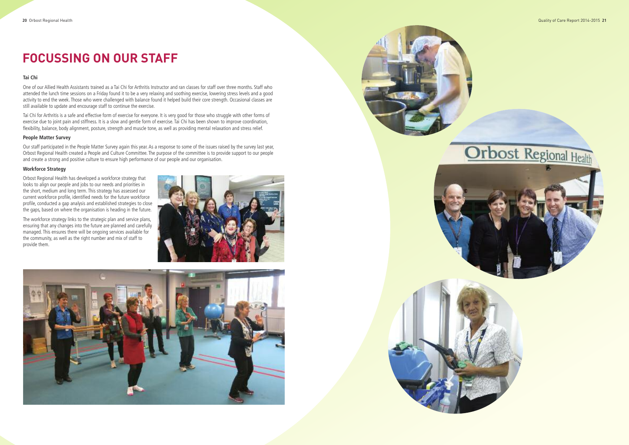## **FOCUSSING ON OUR STAFF**

### **Ta i C h i**

One of our Allied Health Assistants trained as a Tai Chi for Arthritis Instructor and ran classes for staff over three months. Staff who attended the lunch time sessions on a Friday found it to be a very relaxing and soothing exercise, lowering stress levels and a good activity to end the week. Those who were challenged with balance found it helped build their core strength. Occasional classes are still available to update and encourage staff to continue the exercise.

Tai Chi for Arthritis is a safe and effective form of exercise for everyone. It is very good for those who struggle with other forms of exercise due to joint pain and stiffness. It is a slow and gentle form of exercise. Tai Chi has been shown to improve coordination, flexibility, balance, body alignment, posture, strength and muscle tone, as well as providing mental relaxation and stress relief.

#### **People Matter Survey**

Our staff participated in the People Matter Survey again this year. As a response to some of the issues raised by the survey last year, Orbost Regional Health created a People and Culture Committee. The purpose of the committee is to provide support to our people and create a strong and positive culture to ensure high performance of our people and our organisation.

#### **W o r k f o r c e S t r a t e g y**

Orbost Regional Health has developed a workforce strategy that looks to align our people and jobs to our needs and priorities in the short, medium and long term. This strategy has assessed our current workforce profile, identified needs for the future workforce profile, conducted a gap analysis and established strategies to close the gaps, based on where the organisation is heading in the future.

The workforce strategy links to the strategic plan and service plans, ensuring that any changes into the future are planned and carefully managed. This ensures there will be ongoing services available for the community, as well as the right number and mix of staff to provide them.